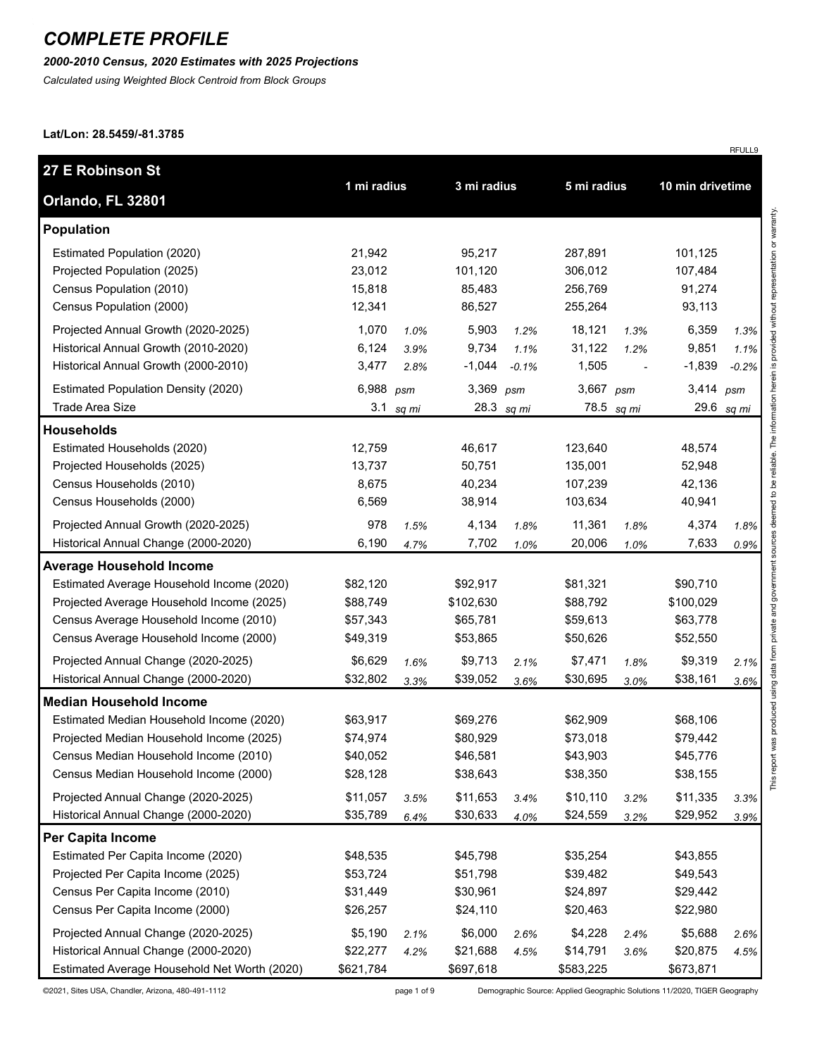*2000-2010 Census, 2020 Estimates with 2025 Projections*

*Calculated using Weighted Block Centroid from Block Groups*

#### **Lat/Lon: 28.5459/-81.3785**

| 27 E Robinson St                                                                                                                                                                                                                                                                        |                                                                      |                      |                                                                      |                         |                                                                      |                                          |                                                                      |                         |
|-----------------------------------------------------------------------------------------------------------------------------------------------------------------------------------------------------------------------------------------------------------------------------------------|----------------------------------------------------------------------|----------------------|----------------------------------------------------------------------|-------------------------|----------------------------------------------------------------------|------------------------------------------|----------------------------------------------------------------------|-------------------------|
| Orlando, FL 32801                                                                                                                                                                                                                                                                       | 1 mi radius                                                          |                      | 3 mi radius                                                          |                         | 5 mi radius                                                          |                                          | 10 min drivetime                                                     |                         |
| <b>Population</b>                                                                                                                                                                                                                                                                       |                                                                      |                      |                                                                      |                         |                                                                      |                                          |                                                                      |                         |
| Estimated Population (2020)<br>Projected Population (2025)<br>Census Population (2010)<br>Census Population (2000)                                                                                                                                                                      | 21,942<br>23,012<br>15,818<br>12,341                                 |                      | 95,217<br>101,120<br>85,483<br>86,527                                |                         | 287,891<br>306,012<br>256,769<br>255,264                             |                                          | 101,125<br>107,484<br>91,274<br>93,113                               |                         |
| Projected Annual Growth (2020-2025)<br>Historical Annual Growth (2010-2020)<br>Historical Annual Growth (2000-2010)                                                                                                                                                                     | 1,070<br>6,124<br>3,477                                              | 1.0%<br>3.9%<br>2.8% | 5,903<br>9,734<br>$-1,044$                                           | 1.2%<br>1.1%<br>$-0.1%$ | 18,121<br>31,122<br>1,505                                            | 1.3%<br>1.2%<br>$\overline{\phantom{a}}$ | 6,359<br>9,851<br>$-1,839$                                           | 1.3%<br>1.1%<br>$-0.2%$ |
| <b>Estimated Population Density (2020)</b><br><b>Trade Area Size</b>                                                                                                                                                                                                                    | 6,988 psm<br>3.1                                                     | sq mi                | 3,369<br>28.3                                                        | psm<br>sq mi            | 3,667 psm                                                            | 78.5 sq mi                               | 3,414 psm<br>29.6                                                    | sq mi                   |
| <b>Households</b>                                                                                                                                                                                                                                                                       |                                                                      |                      |                                                                      |                         |                                                                      |                                          |                                                                      |                         |
| Estimated Households (2020)<br>Projected Households (2025)<br>Census Households (2010)<br>Census Households (2000)<br>Projected Annual Growth (2020-2025)                                                                                                                               | 12,759<br>13,737<br>8,675<br>6,569<br>978                            | 1.5%                 | 46,617<br>50,751<br>40,234<br>38,914<br>4,134                        | 1.8%                    | 123,640<br>135,001<br>107,239<br>103,634<br>11,361                   | 1.8%                                     | 48,574<br>52,948<br>42,136<br>40,941<br>4,374                        | 1.8%                    |
| Historical Annual Change (2000-2020)                                                                                                                                                                                                                                                    | 6,190                                                                | 4.7%                 | 7,702                                                                | 1.0%                    | 20,006                                                               | 1.0%                                     | 7,633                                                                | 0.9%                    |
| <b>Average Household Income</b><br>Estimated Average Household Income (2020)<br>Projected Average Household Income (2025)<br>Census Average Household Income (2010)<br>Census Average Household Income (2000)                                                                           | \$82,120<br>\$88,749<br>\$57,343<br>\$49,319                         |                      | \$92,917<br>\$102,630<br>\$65,781<br>\$53,865                        |                         | \$81,321<br>\$88,792<br>\$59,613<br>\$50,626                         |                                          | \$90,710<br>\$100,029<br>\$63,778<br>\$52,550                        |                         |
| Projected Annual Change (2020-2025)<br>Historical Annual Change (2000-2020)                                                                                                                                                                                                             | \$6,629<br>\$32,802                                                  | 1.6%<br>3.3%         | \$9,713<br>\$39,052                                                  | 2.1%<br>3.6%            | \$7,471<br>\$30,695                                                  | 1.8%<br>3.0%                             | \$9,319<br>\$38,161                                                  | 2.1%<br>3.6%            |
| <b>Median Household Income</b><br>Estimated Median Household Income (2020)<br>Projected Median Household Income (2025)<br>Census Median Household Income (2010)<br>Census Median Household Income (2000)<br>Projected Annual Change (2020-2025)<br>Historical Annual Change (2000-2020) | \$63,917<br>\$74,974<br>\$40,052<br>\$28,128<br>\$11,057<br>\$35,789 | 3.5%<br>6.4%         | \$69,276<br>\$80,929<br>\$46,581<br>\$38,643<br>\$11,653<br>\$30,633 | 3.4%<br>4.0%            | \$62,909<br>\$73,018<br>\$43,903<br>\$38,350<br>\$10,110<br>\$24,559 | 3.2%<br>3.2%                             | \$68,106<br>\$79,442<br>\$45,776<br>\$38,155<br>\$11,335<br>\$29,952 | 3.3%<br>3.9%            |
| Per Capita Income                                                                                                                                                                                                                                                                       |                                                                      |                      |                                                                      |                         |                                                                      |                                          |                                                                      |                         |
| Estimated Per Capita Income (2020)<br>Projected Per Capita Income (2025)<br>Census Per Capita Income (2010)<br>Census Per Capita Income (2000)<br>Projected Annual Change (2020-2025)                                                                                                   | \$48,535<br>\$53,724<br>\$31,449<br>\$26,257<br>\$5,190              | 2.1%                 | \$45,798<br>\$51,798<br>\$30,961<br>\$24,110<br>\$6,000              | 2.6%                    | \$35,254<br>\$39,482<br>\$24,897<br>\$20,463<br>\$4,228              | 2.4%                                     | \$43,855<br>\$49,543<br>\$29,442<br>\$22,980<br>\$5,688              | 2.6%                    |
| Historical Annual Change (2000-2020)<br>Estimated Average Household Net Worth (2020)                                                                                                                                                                                                    | \$22,277<br>\$621,784                                                | 4.2%                 | \$21,688<br>\$697,618                                                | 4.5%                    | \$14,791<br>\$583,225                                                | 3.6%                                     | \$20,875<br>\$673,871                                                | 4.5%                    |

©2021, Sites USA, Chandler, Arizona, 480-491-1112 page 1 of 9 Demographic Source: Applied Geographic Solutions 11/2020, TIGER Geography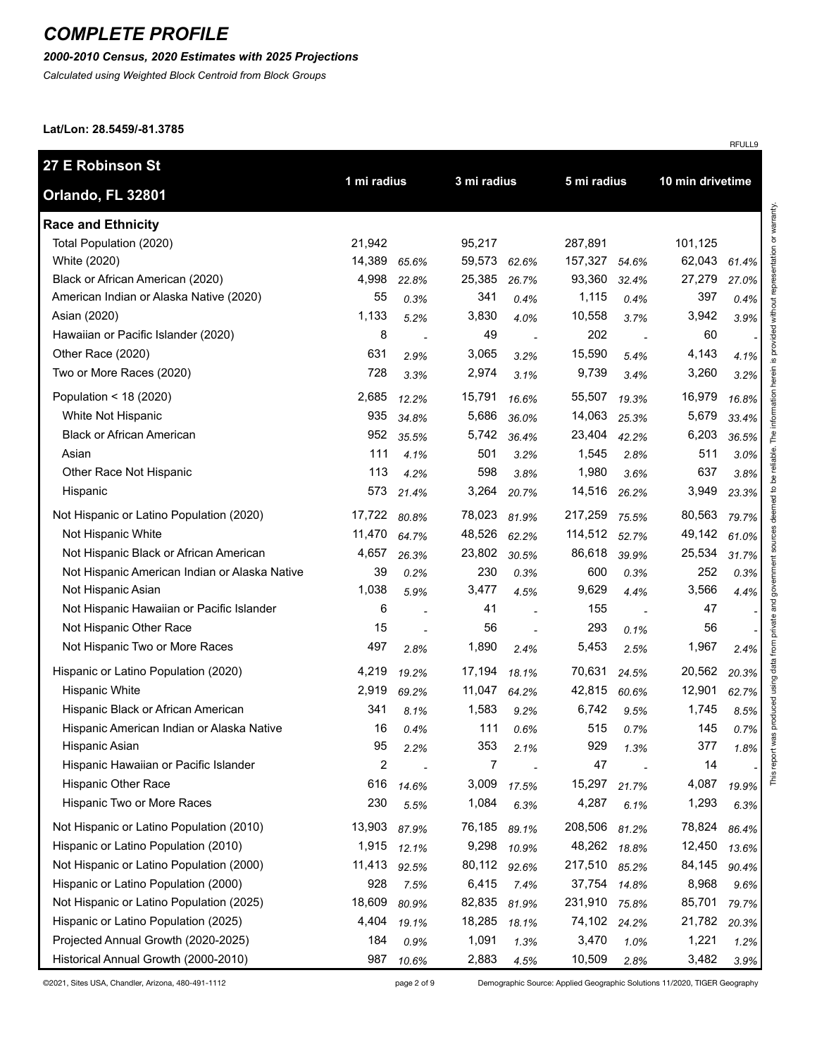## *2000-2010 Census, 2020 Estimates with 2025 Projections*

*Calculated using Weighted Block Centroid from Block Groups*

#### **Lat/Lon: 28.5459/-81.3785**

|                                               |             |       |             |                          |             |       |                  | RFULL9 |
|-----------------------------------------------|-------------|-------|-------------|--------------------------|-------------|-------|------------------|--------|
| 27 E Robinson St                              | 1 mi radius |       | 3 mi radius |                          | 5 mi radius |       |                  |        |
| Orlando, FL 32801                             |             |       |             |                          |             |       | 10 min drivetime |        |
| <b>Race and Ethnicity</b>                     |             |       |             |                          |             |       |                  |        |
| Total Population (2020)                       | 21,942      |       | 95,217      |                          | 287,891     |       | 101,125          |        |
| White (2020)                                  | 14,389      | 65.6% | 59,573      | 62.6%                    | 157,327     | 54.6% | 62,043           | 61.4%  |
| Black or African American (2020)              | 4,998       | 22.8% | 25,385      | 26.7%                    | 93,360      | 32.4% | 27,279           | 27.0%  |
| American Indian or Alaska Native (2020)       | 55          | 0.3%  | 341         | 0.4%                     | 1,115       | 0.4%  | 397              | 0.4%   |
| Asian (2020)                                  | 1,133       | 5.2%  | 3,830       | 4.0%                     | 10,558      | 3.7%  | 3,942            | 3.9%   |
| Hawaiian or Pacific Islander (2020)           | 8           |       | 49          |                          | 202         |       | 60               |        |
| Other Race (2020)                             | 631         | 2.9%  | 3,065       | 3.2%                     | 15,590      | 5.4%  | 4,143            | 4.1%   |
| Two or More Races (2020)                      | 728         | 3.3%  | 2,974       | 3.1%                     | 9,739       | 3.4%  | 3,260            | 3.2%   |
| Population < 18 (2020)                        | 2,685       | 12.2% | 15,791      | 16.6%                    | 55,507      | 19.3% | 16,979           | 16.8%  |
| White Not Hispanic                            | 935         | 34.8% | 5,686       | 36.0%                    | 14,063      | 25.3% | 5,679            | 33.4%  |
| <b>Black or African American</b>              | 952         | 35.5% | 5,742       | 36.4%                    | 23,404      | 42.2% | 6,203            | 36.5%  |
| Asian                                         | 111         | 4.1%  | 501         | 3.2%                     | 1,545       | 2.8%  | 511              | 3.0%   |
| Other Race Not Hispanic                       | 113         | 4.2%  | 598         | 3.8%                     | 1,980       | 3.6%  | 637              | 3.8%   |
| Hispanic                                      | 573         | 21.4% | 3,264       | 20.7%                    | 14,516      | 26.2% | 3,949            | 23.3%  |
| Not Hispanic or Latino Population (2020)      | 17,722      | 80.8% | 78,023      | 81.9%                    | 217,259     | 75.5% | 80,563           | 79.7%  |
| Not Hispanic White                            | 11,470      | 64.7% | 48,526      | 62.2%                    | 114,512     | 52.7% | 49,142           | 61.0%  |
| Not Hispanic Black or African American        | 4,657       | 26.3% | 23,802      | 30.5%                    | 86,618      | 39.9% | 25,534           | 31.7%  |
| Not Hispanic American Indian or Alaska Native | 39          | 0.2%  | 230         | 0.3%                     | 600         | 0.3%  | 252              | 0.3%   |
| Not Hispanic Asian                            | 1,038       | 5.9%  | 3,477       | 4.5%                     | 9,629       | 4.4%  | 3,566            | 4.4%   |
| Not Hispanic Hawaiian or Pacific Islander     | 6           |       | 41          | $\overline{\phantom{a}}$ | 155         |       | 47               |        |
| Not Hispanic Other Race                       | 15          |       | 56          | ÷,                       | 293         | 0.1%  | 56               |        |
| Not Hispanic Two or More Races                | 497         | 2.8%  | 1,890       | 2.4%                     | 5,453       | 2.5%  | 1,967            | 2.4%   |
| Hispanic or Latino Population (2020)          | 4,219       | 19.2% | 17,194      | 18.1%                    | 70,631      | 24.5% | 20,562           | 20.3%  |
| <b>Hispanic White</b>                         | 2,919       | 69.2% | 11,047      | 64.2%                    | 42,815      | 60.6% | 12,901           | 62.7%  |
| Hispanic Black or African American            | 341         | 8.1%  | 1,583       | 9.2%                     | 6,742       | 9.5%  | 1,745            | 8.5%   |
| Hispanic American Indian or Alaska Native     | 16          | 0.4%  | 111         | 0.6%                     | 515         | 0.7%  | 145              | 0.7%   |
| Hispanic Asian                                | 95          | 2.2%  | 353         | 2.1%                     | 929         | 1.3%  | 377              | 1.8%   |
| Hispanic Hawaiian or Pacific Islander         | 2           |       | 7           |                          | 47          |       | 14               |        |
| <b>Hispanic Other Race</b>                    | 616         | 14.6% | 3,009       | 17.5%                    | 15,297      | 21.7% | 4,087            | 19.9%  |
| Hispanic Two or More Races                    | 230         | 5.5%  | 1,084       | 6.3%                     | 4,287       | 6.1%  | 1,293            | 6.3%   |
| Not Hispanic or Latino Population (2010)      | 13,903      | 87.9% | 76,185      | 89.1%                    | 208,506     | 81.2% | 78,824           | 86.4%  |
| Hispanic or Latino Population (2010)          | 1,915       | 12.1% | 9,298       | 10.9%                    | 48,262      | 18.8% | 12,450           | 13.6%  |
| Not Hispanic or Latino Population (2000)      | 11,413      | 92.5% | 80,112      | 92.6%                    | 217,510     | 85.2% | 84,145           | 90.4%  |
| Hispanic or Latino Population (2000)          | 928         | 7.5%  | 6,415       | 7.4%                     | 37,754      | 14.8% | 8,968            | 9.6%   |
| Not Hispanic or Latino Population (2025)      | 18,609      | 80.9% | 82,835      | 81.9%                    | 231,910     | 75.8% | 85,701           | 79.7%  |
| Hispanic or Latino Population (2025)          | 4,404       | 19.1% | 18,285      | 18.1%                    | 74,102      | 24.2% | 21,782           | 20.3%  |
| Projected Annual Growth (2020-2025)           | 184         | 0.9%  | 1,091       | 1.3%                     | 3,470       | 1.0%  | 1,221            | 1.2%   |
| Historical Annual Growth (2000-2010)          | 987         | 10.6% | 2,883       | 4.5%                     | 10,509      | 2.8%  | 3,482            | 3.9%   |

©2021, Sites USA, Chandler, Arizona, 480-491-1112 page 2 of 9 Demographic Source: Applied Geographic Solutions 11/2020, TIGER Geography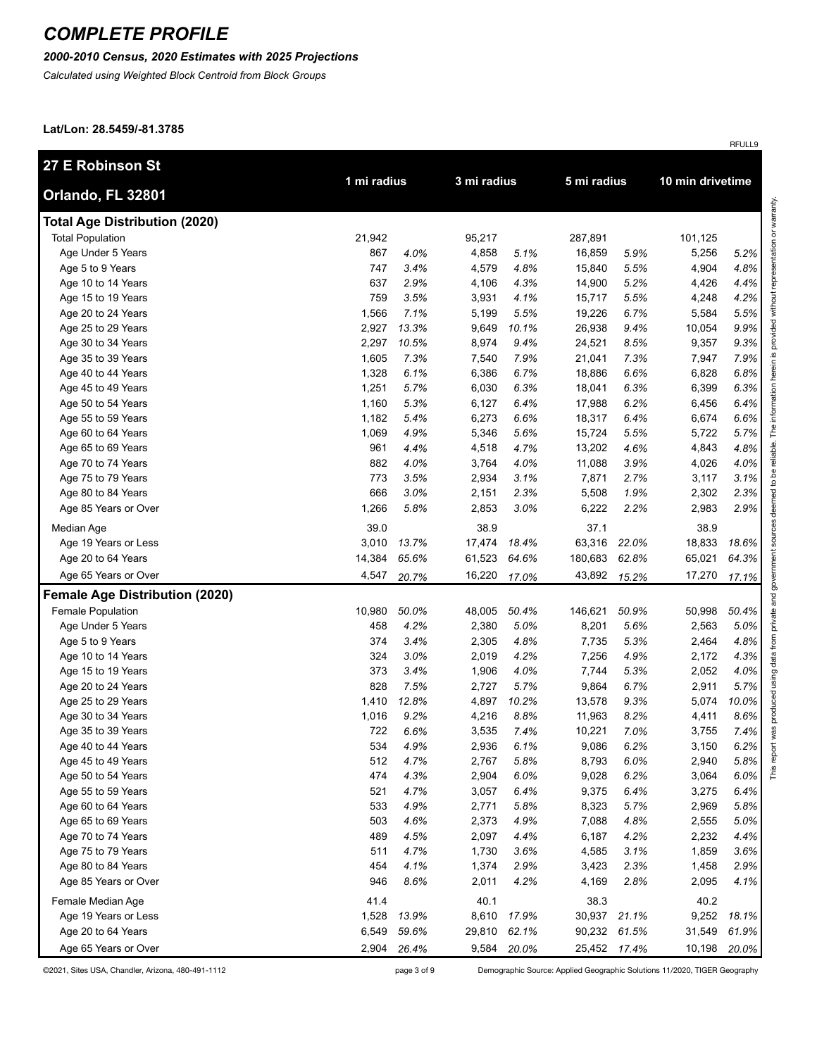### *2000-2010 Census, 2020 Estimates with 2025 Projections*

*Calculated using Weighted Block Centroid from Block Groups*

#### **Lat/Lon: 28.5459/-81.3785**

| 27 E Robinson St                      | 1 mi radius |       |             |       |              |       |                  |       |
|---------------------------------------|-------------|-------|-------------|-------|--------------|-------|------------------|-------|
| Orlando, FL 32801                     |             |       | 3 mi radius |       | 5 mi radius  |       | 10 min drivetime |       |
| <b>Total Age Distribution (2020)</b>  |             |       |             |       |              |       |                  |       |
| <b>Total Population</b>               | 21,942      |       | 95,217      |       | 287,891      |       | 101,125          |       |
| Age Under 5 Years                     | 867         | 4.0%  | 4,858       | 5.1%  | 16,859       | 5.9%  | 5,256            | 5.2%  |
| Age 5 to 9 Years                      | 747         | 3.4%  | 4,579       | 4.8%  | 15,840       | 5.5%  | 4,904            | 4.8%  |
| Age 10 to 14 Years                    | 637         | 2.9%  | 4,106       | 4.3%  | 14,900       | 5.2%  | 4,426            | 4.4%  |
| Age 15 to 19 Years                    | 759         | 3.5%  | 3,931       | 4.1%  | 15,717       | 5.5%  | 4,248            | 4.2%  |
| Age 20 to 24 Years                    | 1,566       | 7.1%  | 5,199       | 5.5%  | 19,226       | 6.7%  | 5,584            | 5.5%  |
| Age 25 to 29 Years                    | 2,927       | 13.3% | 9,649       | 10.1% | 26,938       | 9.4%  | 10,054           | 9.9%  |
| Age 30 to 34 Years                    | 2,297       | 10.5% | 8,974       | 9.4%  | 24,521       | 8.5%  | 9,357            | 9.3%  |
| Age 35 to 39 Years                    | 1,605       | 7.3%  | 7,540       | 7.9%  | 21,041       | 7.3%  | 7,947            | 7.9%  |
| Age 40 to 44 Years                    | 1,328       | 6.1%  | 6,386       | 6.7%  | 18,886       | 6.6%  | 6,828            | 6.8%  |
| Age 45 to 49 Years                    | 1,251       | 5.7%  | 6,030       | 6.3%  | 18,041       | 6.3%  | 6,399            | 6.3%  |
| Age 50 to 54 Years                    | 1,160       | 5.3%  | 6,127       | 6.4%  | 17,988       | 6.2%  | 6,456            | 6.4%  |
| Age 55 to 59 Years                    | 1,182       | 5.4%  | 6,273       | 6.6%  | 18,317       | 6.4%  | 6,674            | 6.6%  |
| Age 60 to 64 Years                    | 1,069       | 4.9%  | 5,346       | 5.6%  | 15,724       | 5.5%  | 5,722            | 5.7%  |
| Age 65 to 69 Years                    | 961         | 4.4%  | 4,518       | 4.7%  | 13,202       | 4.6%  | 4,843            | 4.8%  |
| Age 70 to 74 Years                    | 882         | 4.0%  | 3,764       | 4.0%  | 11,088       | 3.9%  | 4,026            | 4.0%  |
| Age 75 to 79 Years                    | 773         | 3.5%  | 2,934       | 3.1%  | 7,871        | 2.7%  | 3,117            | 3.1%  |
| Age 80 to 84 Years                    | 666         | 3.0%  | 2,151       | 2.3%  | 5,508        | 1.9%  | 2,302            | 2.3%  |
| Age 85 Years or Over                  | 1,266       | 5.8%  | 2,853       | 3.0%  | 6,222        | 2.2%  | 2,983            | 2.9%  |
| Median Age                            | 39.0        |       | 38.9        |       | 37.1         |       | 38.9             |       |
| Age 19 Years or Less                  | 3,010       | 13.7% | 17,474      | 18.4% | 63,316       | 22.0% | 18,833           | 18.6% |
| Age 20 to 64 Years                    | 14,384      | 65.6% | 61,523      | 64.6% | 180,683      | 62.8% | 65,021           | 64.3% |
| Age 65 Years or Over                  | 4,547       | 20.7% | 16,220      | 17.0% | 43,892       | 15.2% | 17,270           | 17.1% |
| <b>Female Age Distribution (2020)</b> |             |       |             |       |              |       |                  |       |
| Female Population                     | 10,980      | 50.0% | 48,005      | 50.4% | 146,621      | 50.9% | 50,998           | 50.4% |
| Age Under 5 Years                     | 458         | 4.2%  | 2,380       | 5.0%  | 8,201        | 5.6%  | 2,563            | 5.0%  |
| Age 5 to 9 Years                      | 374         | 3.4%  | 2,305       | 4.8%  | 7,735        | 5.3%  | 2,464            | 4.8%  |
| Age 10 to 14 Years                    | 324         | 3.0%  | 2,019       | 4.2%  | 7,256        | 4.9%  | 2,172            | 4.3%  |
| Age 15 to 19 Years                    | 373         | 3.4%  | 1,906       | 4.0%  | 7,744        | 5.3%  | 2,052            | 4.0%  |
| Age 20 to 24 Years                    | 828         | 7.5%  | 2,727       | 5.7%  | 9,864        | 6.7%  | 2,911            | 5.7%  |
| Age 25 to 29 Years                    | 1,410       | 12.8% | 4,897       | 10.2% | 13,578       | 9.3%  | 5,074            | 10.0% |
| Age 30 to 34 Years                    | 1,016       | 9.2%  | 4,216       | 8.8%  | 11,963       | 8.2%  | 4,411            | 8.6%  |
| Age 35 to 39 Years                    | 722         | 6.6%  | 3,535       | 7.4%  | 10,221       | 7.0%  | 3,755            | 7.4%  |
| Age 40 to 44 Years                    | 534         | 4.9%  | 2,936       | 6.1%  | 9,086        | 6.2%  | 3,150            | 6.2%  |
| Age 45 to 49 Years                    | 512         | 4.7%  | 2,767       | 5.8%  | 8,793        | 6.0%  | 2,940            | 5.8%  |
| Age 50 to 54 Years                    | 474         | 4.3%  | 2,904       | 6.0%  | 9,028        | 6.2%  | 3,064            | 6.0%  |
| Age 55 to 59 Years                    | 521         | 4.7%  | 3,057       | 6.4%  | 9,375        | 6.4%  | 3,275            | 6.4%  |
| Age 60 to 64 Years                    | 533         | 4.9%  | 2,771       | 5.8%  | 8,323        | 5.7%  | 2,969            | 5.8%  |
| Age 65 to 69 Years                    | 503         | 4.6%  | 2,373       | 4.9%  | 7,088        | 4.8%  | 2,555            | 5.0%  |
| Age 70 to 74 Years                    | 489         | 4.5%  | 2,097       | 4.4%  | 6,187        | 4.2%  | 2,232            | 4.4%  |
| Age 75 to 79 Years                    | 511         | 4.7%  | 1,730       | 3.6%  | 4,585        | 3.1%  | 1,859            | 3.6%  |
| Age 80 to 84 Years                    | 454         | 4.1%  | 1,374       | 2.9%  | 3,423        | 2.3%  | 1,458            | 2.9%  |
| Age 85 Years or Over                  | 946         | 8.6%  | 2,011       | 4.2%  | 4,169        | 2.8%  | 2,095            | 4.1%  |
| Female Median Age                     | 41.4        |       | 40.1        |       | 38.3         |       | 40.2             |       |
| Age 19 Years or Less                  | 1,528       | 13.9% | 8,610       | 17.9% | 30,937       | 21.1% | 9,252            | 18.1% |
| Age 20 to 64 Years                    | 6,549       | 59.6% | 29,810      | 62.1% | 90,232 61.5% |       | 31,549           | 61.9% |
| Age 65 Years or Over                  | 2,904       | 26.4% | 9,584       | 20.0% | 25,452 17.4% |       | 10,198           | 20.0% |

©2021, Sites USA, Chandler, Arizona, 480-491-1112 page 3 of 9 Demographic Source: Applied Geographic Solutions 11/2020, TIGER Geography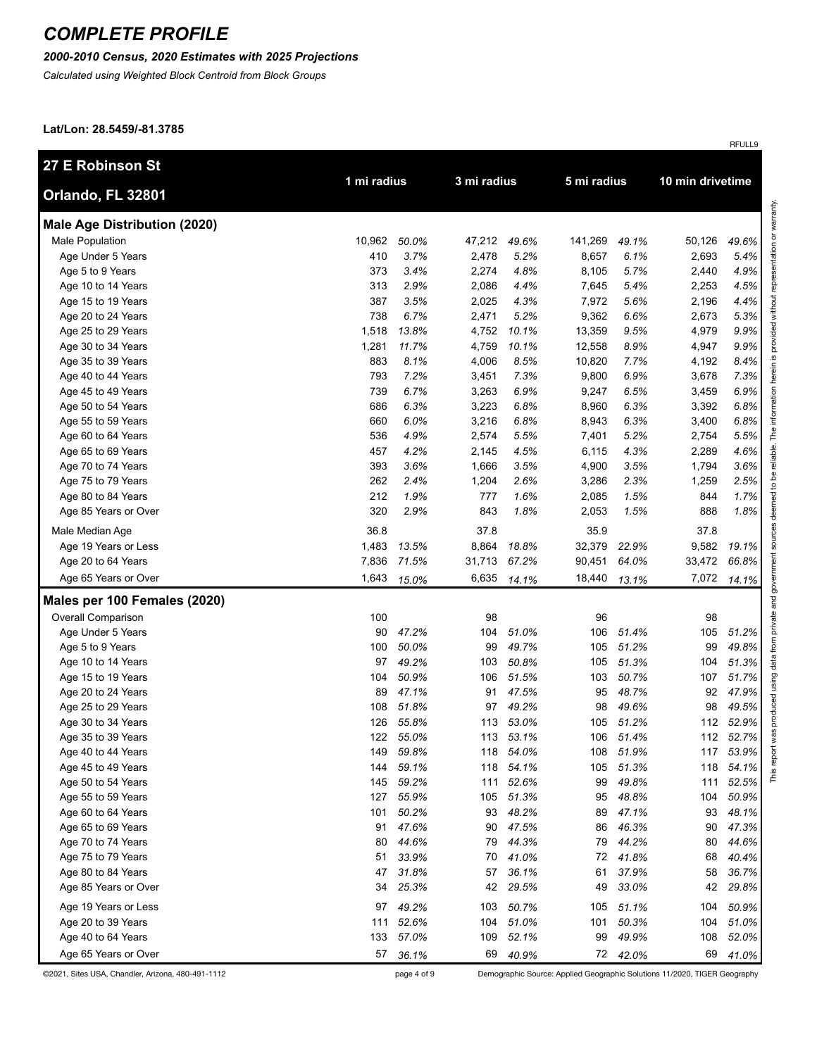## *2000-2010 Census, 2020 Estimates with 2025 Projections*

*Calculated using Weighted Block Centroid from Block Groups*

#### **Lat/Lon: 28.5459/-81.3785**

|                                     |             |           |        |             |             |          |                  | RFULL9    |
|-------------------------------------|-------------|-----------|--------|-------------|-------------|----------|------------------|-----------|
| 27 E Robinson St                    | 1 mi radius |           |        | 3 mi radius |             |          | 10 min drivetime |           |
| Orlando, FL 32801                   |             |           |        |             | 5 mi radius |          |                  |           |
| <b>Male Age Distribution (2020)</b> |             |           |        |             |             |          |                  |           |
| <b>Male Population</b>              | 10,962      | 50.0%     | 47,212 | 49.6%       | 141,269     | 49.1%    | 50,126           | 49.6%     |
| Age Under 5 Years                   | 410         | 3.7%      | 2,478  | 5.2%        | 8,657       | 6.1%     | 2,693            | 5.4%      |
| Age 5 to 9 Years                    | 373         | 3.4%      | 2,274  | 4.8%        | 8,105       | 5.7%     | 2,440            | 4.9%      |
| Age 10 to 14 Years                  | 313         | 2.9%      | 2,086  | 4.4%        | 7,645       | 5.4%     | 2,253            | 4.5%      |
| Age 15 to 19 Years                  | 387         | 3.5%      | 2,025  | 4.3%        | 7,972       | 5.6%     | 2,196            | 4.4%      |
| Age 20 to 24 Years                  | 738         | 6.7%      | 2,471  | 5.2%        | 9,362       | 6.6%     | 2,673            | 5.3%      |
| Age 25 to 29 Years                  | 1,518       | 13.8%     | 4,752  | 10.1%       | 13,359      | 9.5%     | 4,979            | 9.9%      |
| Age 30 to 34 Years                  | 1,281       | 11.7%     | 4,759  | 10.1%       | 12,558      | 8.9%     | 4,947            | 9.9%      |
| Age 35 to 39 Years                  | 883         | 8.1%      | 4,006  | 8.5%        | 10,820      | 7.7%     | 4,192            | 8.4%      |
| Age 40 to 44 Years                  | 793         | 7.2%      | 3,451  | 7.3%        | 9,800       | 6.9%     | 3,678            | 7.3%      |
| Age 45 to 49 Years                  | 739         | 6.7%      | 3,263  | 6.9%        | 9,247       | 6.5%     | 3,459            | 6.9%      |
| Age 50 to 54 Years                  | 686         | 6.3%      | 3,223  | 6.8%        | 8,960       | 6.3%     | 3,392            | 6.8%      |
| Age 55 to 59 Years                  | 660         | 6.0%      | 3,216  | 6.8%        | 8,943       | 6.3%     | 3,400            | 6.8%      |
| Age 60 to 64 Years                  | 536         | 4.9%      | 2,574  | 5.5%        | 7,401       | 5.2%     | 2,754            | 5.5%      |
| Age 65 to 69 Years                  | 457         | 4.2%      | 2,145  | 4.5%        | 6,115       | 4.3%     | 2,289            | 4.6%      |
| Age 70 to 74 Years                  | 393         | 3.6%      | 1,666  | 3.5%        | 4,900       | 3.5%     | 1,794            | 3.6%      |
| Age 75 to 79 Years                  | 262         | 2.4%      | 1,204  | 2.6%        | 3,286       | 2.3%     | 1,259            | 2.5%      |
| Age 80 to 84 Years                  | 212         | 1.9%      | 777    | 1.6%        | 2,085       | 1.5%     | 844              | 1.7%      |
| Age 85 Years or Over                | 320         | 2.9%      | 843    | 1.8%        | 2,053       | 1.5%     | 888              | 1.8%      |
| Male Median Age                     | 36.8        |           | 37.8   |             | 35.9        |          | 37.8             |           |
| Age 19 Years or Less                | 1,483       | 13.5%     | 8,864  | 18.8%       | 32,379      | 22.9%    | 9,582            | 19.1%     |
| Age 20 to 64 Years                  | 7,836       | 71.5%     | 31,713 | 67.2%       | 90,451      | 64.0%    | 33,472           | 66.8%     |
| Age 65 Years or Over                | 1,643       | 15.0%     | 6,635  | 14.1%       | 18,440      | 13.1%    | 7,072            | 14.1%     |
| Males per 100 Females (2020)        |             |           |        |             |             |          |                  |           |
| <b>Overall Comparison</b>           | 100         |           | 98     |             | 96          |          | 98               |           |
| Age Under 5 Years                   | 90          | 47.2%     | 104    | 51.0%       | 106         | 51.4%    | 105              | 51.2%     |
| Age 5 to 9 Years                    | 100         | 50.0%     | 99     | 49.7%       | 105         | 51.2%    | 99               | 49.8%     |
| Age 10 to 14 Years                  | 97          | 49.2%     | 103    | 50.8%       | 105         | 51.3%    | 104              | 51.3%     |
| Age 15 to 19 Years                  | 104         | 50.9%     | 106    | 51.5%       | 103         | 50.7%    | 107              | 51.7%     |
| Age 20 to 24 Years                  | 89          | 47.1%     | 91     | 47.5%       | 95          | 48.7%    | 92               | 47.9%     |
| Age 25 to 29 Years                  | 108         | 51.8%     | 97     | 49.2%       | 98          | 49.6%    | 98               | 49.5%     |
| Age 30 to 34 Years                  | 126         | 55.8%     |        | 113 53.0%   | 105         | 51.2%    |                  | 112 52.9% |
| Age 35 to 39 Years                  |             | 122 55.0% |        | 113 53.1%   | 106         | 51.4%    |                  | 112 52.7% |
| Age 40 to 44 Years                  | 149         | 59.8%     |        | 118 54.0%   | 108         | 51.9%    | 117              | 53.9%     |
| Age 45 to 49 Years                  | 144         | 59.1%     |        | 118 54.1%   | 105         | 51.3%    | 118              | 54.1%     |
| Age 50 to 54 Years                  | 145         | 59.2%     |        | 111 52.6%   | 99          | 49.8%    | 111              | 52.5%     |
| Age 55 to 59 Years                  | 127         | 55.9%     | 105    | 51.3%       | 95          | 48.8%    | 104              | 50.9%     |
| Age 60 to 64 Years                  | 101         | 50.2%     | 93     | 48.2%       | 89          | 47.1%    | 93               | 48.1%     |
| Age 65 to 69 Years                  | 91          | 47.6%     | 90     | 47.5%       | 86          | 46.3%    | 90               | 47.3%     |
| Age 70 to 74 Years                  | 80          | 44.6%     | 79     | 44.3%       | 79          | 44.2%    | 80               | 44.6%     |
| Age 75 to 79 Years                  | 51          | 33.9%     | 70     | 41.0%       | 72          | 41.8%    | 68               | 40.4%     |
| Age 80 to 84 Years                  | 47          | 31.8%     | 57     | 36.1%       | 61          | 37.9%    | 58               | 36.7%     |
| Age 85 Years or Over                | 34          | 25.3%     | 42     | 29.5%       | 49          | 33.0%    | 42               | 29.8%     |
| Age 19 Years or Less                | 97          | 49.2%     | 103    | 50.7%       | 105         | 51.1%    | 104              | 50.9%     |
| Age 20 to 39 Years                  | 111         | 52.6%     |        | 104 51.0%   | 101         | 50.3%    | 104              | 51.0%     |
| Age 40 to 64 Years                  | 133         | 57.0%     | 109    | 52.1%       | 99          | 49.9%    | 108              | 52.0%     |
| Age 65 Years or Over                | 57          | 36.1%     |        | 69 40.9%    |             | 72 42.0% | 69               | 41.0%     |

©2021, Sites USA, Chandler, Arizona, 480-491-1112 page 4 of 9 Demographic Source: Applied Geographic Solutions 11/2020, TIGER Geography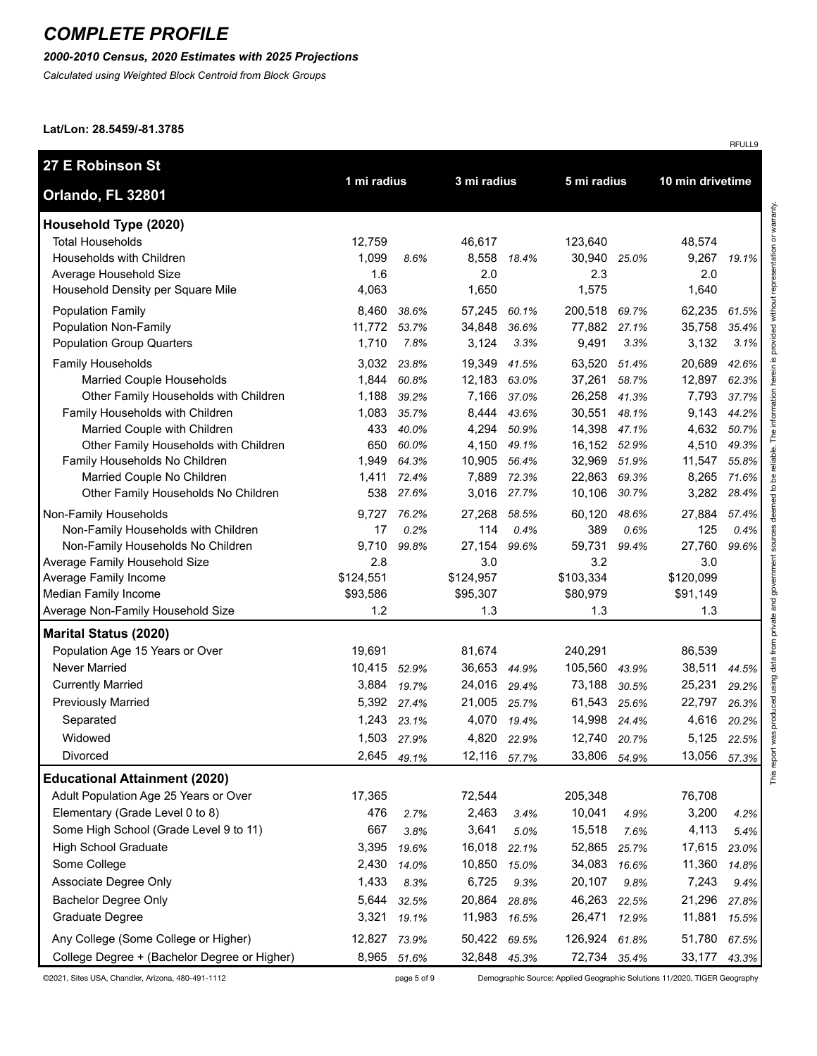## *2000-2010 Census, 2020 Estimates with 2025 Projections*

*Calculated using Weighted Block Centroid from Block Groups*

#### **Lat/Lon: 28.5459/-81.3785**

| 27 E Robinson St                                                                                                                                                                                                                                                                                                                                                                                                                                                                                                                                                                                                               |                                                                                                                                                                      |                                                                                                                                   |                                                                                                                                                                                         |                                                                                                                          | 5 mi radius                                                                                                                                                                                    |                                                                                                                          |                                                                                                                                                                                   |                                                                                                                                   |
|--------------------------------------------------------------------------------------------------------------------------------------------------------------------------------------------------------------------------------------------------------------------------------------------------------------------------------------------------------------------------------------------------------------------------------------------------------------------------------------------------------------------------------------------------------------------------------------------------------------------------------|----------------------------------------------------------------------------------------------------------------------------------------------------------------------|-----------------------------------------------------------------------------------------------------------------------------------|-----------------------------------------------------------------------------------------------------------------------------------------------------------------------------------------|--------------------------------------------------------------------------------------------------------------------------|------------------------------------------------------------------------------------------------------------------------------------------------------------------------------------------------|--------------------------------------------------------------------------------------------------------------------------|-----------------------------------------------------------------------------------------------------------------------------------------------------------------------------------|-----------------------------------------------------------------------------------------------------------------------------------|
| Orlando, FL 32801                                                                                                                                                                                                                                                                                                                                                                                                                                                                                                                                                                                                              | 1 mi radius                                                                                                                                                          |                                                                                                                                   | 3 mi radius                                                                                                                                                                             |                                                                                                                          |                                                                                                                                                                                                |                                                                                                                          | 10 min drivetime                                                                                                                                                                  |                                                                                                                                   |
| Household Type (2020)<br><b>Total Households</b><br>Households with Children<br>Average Household Size                                                                                                                                                                                                                                                                                                                                                                                                                                                                                                                         | 12,759<br>1,099<br>1.6                                                                                                                                               | 8.6%                                                                                                                              | 46,617<br>8,558<br>2.0                                                                                                                                                                  | 18.4%                                                                                                                    | 123,640<br>30,940<br>2.3                                                                                                                                                                       | 25.0%                                                                                                                    | 48,574<br>9,267<br>2.0                                                                                                                                                            | 19.1%                                                                                                                             |
| Household Density per Square Mile<br><b>Population Family</b><br>Population Non-Family<br><b>Population Group Quarters</b><br>Family Households<br>Married Couple Households<br>Other Family Households with Children<br>Family Households with Children<br>Married Couple with Children<br>Other Family Households with Children<br>Family Households No Children<br>Married Couple No Children<br>Other Family Households No Children<br>Non-Family Households<br>Non-Family Households with Children<br>Non-Family Households No Children<br>Average Family Household Size<br>Average Family Income<br>Median Family Income | 4,063<br>8,460<br>11,772<br>1,710<br>3,032<br>1,844<br>1,188<br>1,083<br>433<br>650<br>1,949<br>1,411<br>538<br>9,727<br>17<br>9,710<br>2.8<br>\$124,551<br>\$93,586 | 38.6%<br>53.7%<br>7.8%<br>23.8%<br>60.8%<br>39.2%<br>35.7%<br>40.0%<br>60.0%<br>64.3%<br>72.4%<br>27.6%<br>76.2%<br>0.2%<br>99.8% | 1,650<br>57,245<br>34,848<br>3,124<br>19,349<br>12,183 63.0%<br>7,166<br>8,444<br>4,294<br>4,150<br>10,905<br>7,889<br>3,016<br>27,268<br>114<br>27,154<br>3.0<br>\$124,957<br>\$95,307 | 60.1%<br>36.6%<br>3.3%<br>41.5%<br>37.0%<br>43.6%<br>50.9%<br>49.1%<br>56.4%<br>72.3%<br>27.7%<br>58.5%<br>0.4%<br>99.6% | 1,575<br>200,518<br>77,882<br>9,491<br>63,520<br>37,261<br>26,258<br>30,551<br>14,398<br>16,152 52.9%<br>32,969<br>22,863<br>10,106<br>60,120<br>389<br>59,731<br>3.2<br>\$103,334<br>\$80,979 | 69.7%<br>27.1%<br>3.3%<br>51.4%<br>58.7%<br>41.3%<br>48.1%<br>47.1%<br>51.9%<br>69.3%<br>30.7%<br>48.6%<br>0.6%<br>99.4% | 1,640<br>62,235<br>35,758<br>3,132<br>20,689<br>12,897<br>7,793<br>9,143<br>4,632<br>4,510<br>11,547<br>8,265<br>3,282<br>27,884<br>125<br>27,760<br>3.0<br>\$120,099<br>\$91,149 | 61.5%<br>35.4%<br>3.1%<br>42.6%<br>62.3%<br>37.7%<br>44.2%<br>50.7%<br>49.3%<br>55.8%<br>71.6%<br>28.4%<br>57.4%<br>0.4%<br>99.6% |
| Average Non-Family Household Size<br><b>Marital Status (2020)</b>                                                                                                                                                                                                                                                                                                                                                                                                                                                                                                                                                              | 1.2                                                                                                                                                                  |                                                                                                                                   | 1.3                                                                                                                                                                                     |                                                                                                                          | 1.3                                                                                                                                                                                            |                                                                                                                          | 1.3                                                                                                                                                                               |                                                                                                                                   |
| Population Age 15 Years or Over<br>Never Married<br><b>Currently Married</b><br><b>Previously Married</b><br>Separated<br>Widowed<br>Divorced                                                                                                                                                                                                                                                                                                                                                                                                                                                                                  | 19,691<br>10,415<br>3,884<br>5,392<br>1,243<br>2,645                                                                                                                 | 52.9%<br>19.7%<br>27.4%<br>23.1%<br>1,503 27.9%<br>49.1%                                                                          | 81,674<br>36,653 44.9%<br>24,016<br>21,005<br>4,070<br>4,820<br>12,116                                                                                                                  | 29.4%<br>25.7%<br>19.4%<br>22.9%<br>57.7%                                                                                | 240,291<br>105,560<br>73,188<br>61,543<br>14,998<br>12,740<br>33,806                                                                                                                           | 43.9%<br>30.5%<br>25.6%<br>24.4%<br>20.7%<br>54.9%                                                                       | 86,539<br>38,511<br>25,231<br>22,797<br>4,616<br>5,125<br>13,056                                                                                                                  | 44.5%<br>29.2%<br>26.3%<br>20.2%<br>22.5%<br>57.3%                                                                                |
| <b>Educational Attainment (2020)</b><br>Adult Population Age 25 Years or Over<br>Elementary (Grade Level 0 to 8)<br>Some High School (Grade Level 9 to 11)<br><b>High School Graduate</b><br>Some College<br>Associate Degree Only<br><b>Bachelor Degree Only</b><br>Graduate Degree<br>Any College (Some College or Higher)                                                                                                                                                                                                                                                                                                   | 17,365<br>476<br>667<br>3,395<br>2,430<br>1,433<br>5,644<br>3,321<br>12,827                                                                                          | 2.7%<br>3.8%<br>19.6%<br>14.0%<br>8.3%<br>32.5%<br>19.1%<br>73.9%                                                                 | 72,544<br>2,463<br>3,641<br>16,018<br>10,850<br>6,725<br>20,864<br>11,983<br>50,422                                                                                                     | 3.4%<br>5.0%<br>22.1%<br>15.0%<br>9.3%<br>28.8%<br>16.5%<br>69.5%                                                        | 205,348<br>10,041<br>15,518<br>52,865<br>34,083<br>20,107<br>46,263<br>26,471<br>126,924                                                                                                       | 4.9%<br>7.6%<br>25.7%<br>16.6%<br>9.8%<br>22.5%<br>12.9%<br>61.8%                                                        | 76,708<br>3,200<br>4,113<br>17,615<br>11,360<br>7,243<br>21,296<br>11,881<br>51,780                                                                                               | 4.2%<br>5.4%<br>23.0%<br>14.8%<br>9.4%<br>27.8%<br>15.5%<br>67.5%                                                                 |

©2021, Sites USA, Chandler, Arizona, 480-491-1112 page 5 of 9 Demographic Source: Applied Geographic Solutions 11/2020, TIGER Geography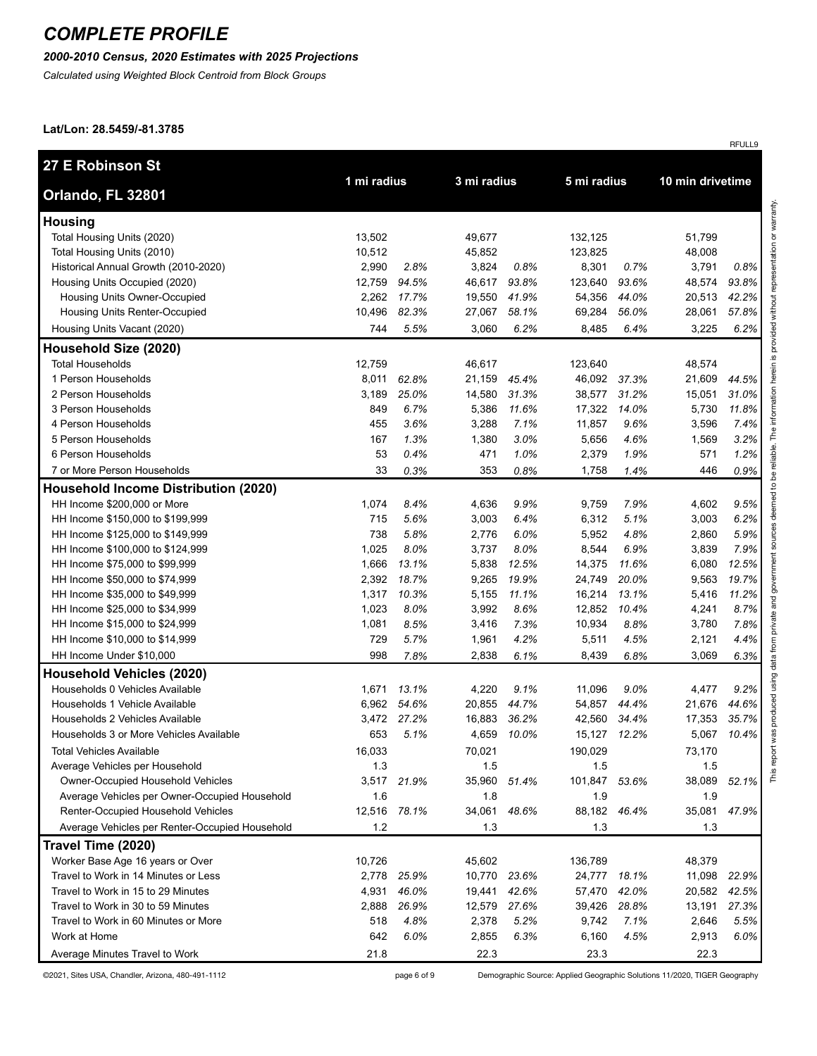### *2000-2010 Census, 2020 Estimates with 2025 Projections*

*Calculated using Weighted Block Centroid from Block Groups*

#### **Lat/Lon: 28.5459/-81.3785**

| <b>27 E Robinson St</b>                        |             |       |              |             |              |       |                  |             |  |
|------------------------------------------------|-------------|-------|--------------|-------------|--------------|-------|------------------|-------------|--|
| Orlando, FL 32801                              | 1 mi radius |       | 3 mi radius  |             | 5 mi radius  |       | 10 min drivetime |             |  |
| <b>Housing</b>                                 |             |       |              |             |              |       |                  |             |  |
| Total Housing Units (2020)                     | 13,502      |       | 49,677       |             | 132,125      |       | 51,799           |             |  |
| Total Housing Units (2010)                     | 10,512      |       | 45,852       |             | 123,825      |       | 48,008           |             |  |
| Historical Annual Growth (2010-2020)           | 2,990       | 2.8%  | 3,824        | 0.8%        | 8,301        | 0.7%  | 3,791            | 0.8%        |  |
| Housing Units Occupied (2020)                  | 12,759      | 94.5% | 46,617       | 93.8%       | 123,640      | 93.6% | 48,574           | 93.8%       |  |
| Housing Units Owner-Occupied                   | 2,262       | 17.7% | 19,550       | 41.9%       | 54,356       | 44.0% | 20,513           | 42.2%       |  |
| Housing Units Renter-Occupied                  | 10,496      | 82.3% | 27,067       | 58.1%       | 69,284       | 56.0% | 28,061           | 57.8%       |  |
| Housing Units Vacant (2020)                    | 744         | 5.5%  | 3,060        | 6.2%        | 8,485        | 6.4%  | 3,225            | 6.2%        |  |
| Household Size (2020)                          |             |       |              |             |              |       |                  |             |  |
| <b>Total Households</b>                        | 12,759      |       | 46,617       |             | 123,640      |       | 48,574           |             |  |
| 1 Person Households                            | 8,011       | 62.8% | 21,159       | 45.4%       | 46,092       | 37.3% | 21,609           | 44.5%       |  |
| 2 Person Households                            | 3,189       | 25.0% | 14,580       | 31.3%       | 38,577       | 31.2% | 15,051           | 31.0%       |  |
| 3 Person Households                            | 849         | 6.7%  | 5,386        | 11.6%       | 17,322       | 14.0% | 5,730            | 11.8%       |  |
| 4 Person Households                            | 455         | 3.6%  | 3,288        | 7.1%        | 11,857       | 9.6%  | 3,596            | 7.4%        |  |
| 5 Person Households                            | 167         | 1.3%  | 1,380        | 3.0%        | 5,656        | 4.6%  | 1,569            | 3.2%        |  |
| 6 Person Households                            | 53          | 0.4%  | 471          | 1.0%        | 2,379        | 1.9%  | 571              | 1.2%        |  |
| 7 or More Person Households                    | 33          | 0.3%  | 353          | 0.8%        | 1,758        | 1.4%  | 446              | 0.9%        |  |
| <b>Household Income Distribution (2020)</b>    |             |       |              |             |              |       |                  |             |  |
| HH Income \$200,000 or More                    | 1,074       | 8.4%  | 4,636        | 9.9%        | 9,759        | 7.9%  | 4,602            | 9.5%        |  |
| HH Income \$150,000 to \$199,999               | 715         | 5.6%  | 3,003        | 6.4%        | 6,312        | 5.1%  | 3,003            | 6.2%        |  |
| HH Income \$125,000 to \$149,999               | 738         | 5.8%  | 2,776        | 6.0%        | 5,952        | 4.8%  | 2,860            | 5.9%        |  |
| HH Income \$100,000 to \$124,999               | 1,025       | 8.0%  | 3,737        | 8.0%        | 8,544        | 6.9%  | 3,839            | 7.9%        |  |
| HH Income \$75,000 to \$99,999                 | 1,666       | 13.1% | 5,838        | 12.5%       | 14,375       | 11.6% | 6,080            | 12.5%       |  |
| HH Income \$50,000 to \$74,999                 | 2,392       | 18.7% | 9,265        | 19.9%       | 24,749       | 20.0% | 9,563            | 19.7%       |  |
| HH Income \$35,000 to \$49,999                 | 1,317       | 10.3% | 5,155        | 11.1%       | 16,214       | 13.1% | 5,416            | 11.2%       |  |
| HH Income \$25,000 to \$34,999                 | 1,023       | 8.0%  | 3,992        | 8.6%        | 12,852       | 10.4% | 4,241            | 8.7%        |  |
| HH Income \$15,000 to \$24,999                 | 1,081       | 8.5%  | 3,416        | 7.3%        | 10,934       | 8.8%  | 3,780            | 7.8%        |  |
| HH Income \$10,000 to \$14,999                 | 729         | 5.7%  | 1,961        | 4.2%        | 5,511        | 4.5%  | 2,121            | 4.4%        |  |
| HH Income Under \$10,000                       | 998         | 7.8%  | 2,838        | 6.1%        | 8,439        | 6.8%  | 3,069            | 6.3%        |  |
| <b>Household Vehicles (2020)</b>               |             |       |              |             |              |       |                  |             |  |
| Households 0 Vehicles Available                | 1,671       | 13.1% | 4,220        | 9.1%        | 11,096       | 9.0%  | 4,477            | 9.2%        |  |
| Households 1 Vehicle Available                 | 6,962       | 54.6% | 20,855       | 44.7%       | 54,857       | 44.4% | 21,676           | 44.6%       |  |
| Households 2 Vehicles Available                | 3,472       | 27.2% | 16,883       | 36.2%       | 42,560       | 34.4% | 17,353           | 35.7%       |  |
| Households 3 or More Vehicles Available        | 653         | 5.1%  |              | 4,659 10.0% | 15,127 12.2% |       |                  | 5,067 10.4% |  |
| <b>Total Vehicles Available</b>                | 16,033      |       | 70,021       |             | 190,029      |       | 73,170           |             |  |
| Average Vehicles per Household                 | 1.3         |       | 1.5          |             | 1.5          |       | 1.5              |             |  |
| Owner-Occupied Household Vehicles              | 3,517       | 21.9% | 35,960 51.4% |             | 101,847      | 53.6% | 38,089           | 52.1%       |  |
| Average Vehicles per Owner-Occupied Household  | 1.6         |       | 1.8          |             | 1.9          |       | 1.9              |             |  |
| Renter-Occupied Household Vehicles             | 12,516      | 78.1% | 34,061       | 48.6%       | 88,182       | 46.4% | 35,081           | 47.9%       |  |
| Average Vehicles per Renter-Occupied Household | 1.2         |       | 1.3          |             | 1.3          |       | 1.3              |             |  |
| Travel Time (2020)                             |             |       |              |             |              |       |                  |             |  |
| Worker Base Age 16 years or Over               | 10,726      |       | 45,602       |             | 136,789      |       | 48,379           |             |  |
| Travel to Work in 14 Minutes or Less           | 2,778       | 25.9% | 10,770       | 23.6%       | 24,777       | 18.1% | 11,098           | 22.9%       |  |
| Travel to Work in 15 to 29 Minutes             | 4,931       | 46.0% | 19,441       | 42.6%       | 57,470       | 42.0% | 20,582           | 42.5%       |  |
| Travel to Work in 30 to 59 Minutes             | 2,888       | 26.9% | 12,579 27.6% |             | 39,426       | 28.8% | 13,191           | 27.3%       |  |
| Travel to Work in 60 Minutes or More           | 518         | 4.8%  | 2,378        | 5.2%        | 9,742        | 7.1%  | 2,646            | 5.5%        |  |
| Work at Home                                   | 642         | 6.0%  | 2,855        | 6.3%        | 6,160        | 4.5%  | 2,913            | 6.0%        |  |
| Average Minutes Travel to Work                 | 21.8        |       | 22.3         |             | 23.3         |       | 22.3             |             |  |

©2021, Sites USA, Chandler, Arizona, 480-491-1112 page 6 of 9 Demographic Source: Applied Geographic Solutions 11/2020, TIGER Geography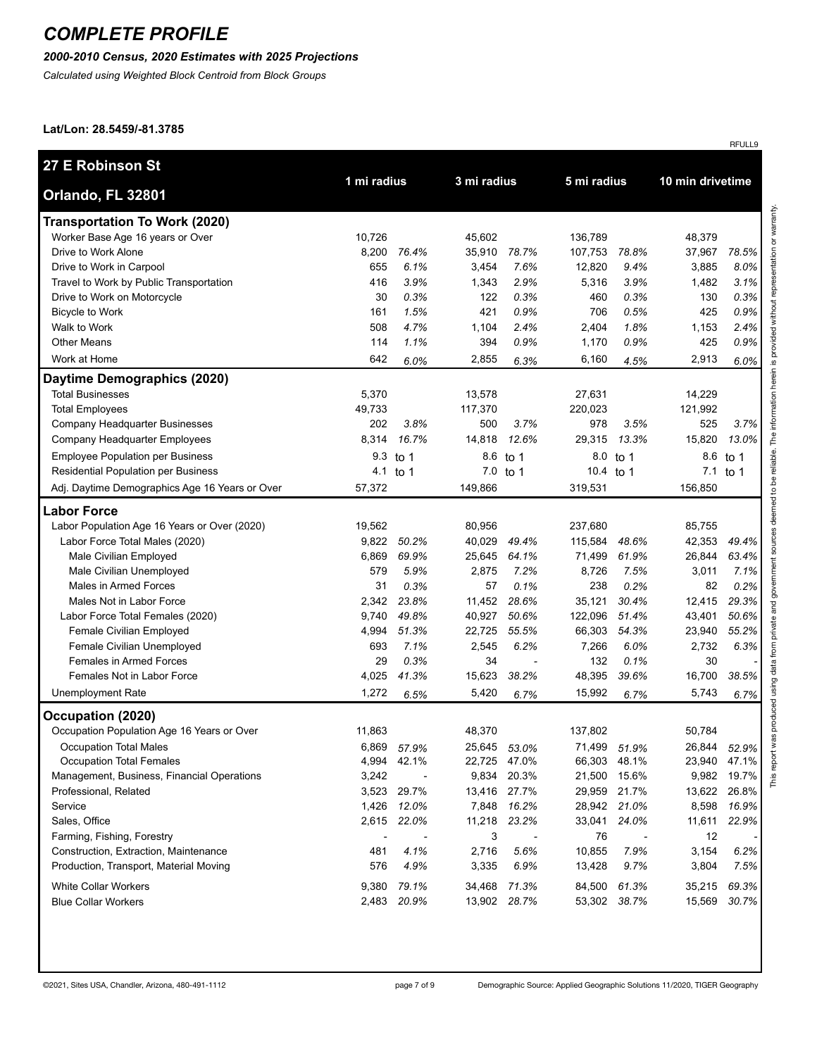## *2000-2010 Census, 2020 Estimates with 2025 Projections*

*Calculated using Weighted Block Centroid from Block Groups*

#### **Lat/Lon: 28.5459/-81.3785**

|                                                |             |                          |             |                          |             |              |                  | RFULL9      |
|------------------------------------------------|-------------|--------------------------|-------------|--------------------------|-------------|--------------|------------------|-------------|
| 27 E Robinson St                               |             |                          |             |                          |             |              |                  |             |
| Orlando, FL 32801                              | 1 mi radius |                          | 3 mi radius |                          | 5 mi radius |              | 10 min drivetime |             |
| <b>Transportation To Work (2020)</b>           |             |                          |             |                          |             |              |                  |             |
| Worker Base Age 16 years or Over               | 10,726      |                          | 45,602      |                          | 136,789     |              | 48,379           |             |
| Drive to Work Alone                            | 8,200       | 76.4%                    | 35,910      | 78.7%                    | 107,753     | 78.8%        | 37,967           | 78.5%       |
| Drive to Work in Carpool                       | 655         | 6.1%                     | 3,454       | 7.6%                     | 12,820      | 9.4%         | 3,885            | 8.0%        |
| Travel to Work by Public Transportation        | 416         | 3.9%                     | 1,343       | 2.9%                     | 5,316       | 3.9%         | 1,482            | 3.1%        |
| Drive to Work on Motorcycle                    | 30          | 0.3%                     | 122         | 0.3%                     | 460         | 0.3%         | 130              | 0.3%        |
| <b>Bicycle to Work</b>                         | 161         | 1.5%                     | 421         | 0.9%                     | 706         | 0.5%         | 425              | 0.9%        |
| Walk to Work                                   | 508         | 4.7%                     | 1,104       | 2.4%                     | 2,404       | 1.8%         | 1,153            | 2.4%        |
| <b>Other Means</b>                             | 114         | 1.1%                     | 394         | 0.9%                     | 1,170       | 0.9%         | 425              | 0.9%        |
| Work at Home                                   | 642         | 6.0%                     | 2,855       | 6.3%                     | 6,160       | 4.5%         | 2,913            | 6.0%        |
| Daytime Demographics (2020)                    |             |                          |             |                          |             |              |                  |             |
| <b>Total Businesses</b>                        | 5,370       |                          | 13,578      |                          | 27,631      |              | 14,229           |             |
| <b>Total Employees</b>                         | 49,733      |                          | 117,370     |                          | 220,023     |              | 121,992          |             |
| Company Headquarter Businesses                 | 202         | 3.8%                     | 500         | 3.7%                     | 978         | 3.5%         | 525              | 3.7%        |
| Company Headquarter Employees                  | 8,314       | 16.7%                    | 14,818      | 12.6%                    | 29,315      | 13.3%        | 15,820           | 13.0%       |
| <b>Employee Population per Business</b>        | 9.3         | to 1                     | 8.6         | to 1                     | 8.0         | to 1         | 8.6              | to 1        |
| Residential Population per Business            | 4.1         | to 1                     | 7.0         | to 1                     | 10.4 to 1   |              |                  | 7.1 to 1    |
| Adj. Daytime Demographics Age 16 Years or Over | 57,372      |                          | 149,866     |                          | 319,531     |              | 156,850          |             |
| <b>Labor Force</b>                             |             |                          |             |                          |             |              |                  |             |
| Labor Population Age 16 Years or Over (2020)   | 19,562      |                          | 80,956      |                          | 237,680     |              | 85,755           |             |
| Labor Force Total Males (2020)                 | 9,822       | 50.2%                    | 40,029      | 49.4%                    | 115,584     | 48.6%        | 42,353           | 49.4%       |
| Male Civilian Employed                         | 6,869       | 69.9%                    | 25,645      | 64.1%                    | 71,499      | 61.9%        | 26,844           | 63.4%       |
| Male Civilian Unemployed                       | 579         | 5.9%                     | 2,875       | 7.2%                     | 8,726       | 7.5%         | 3,011            | 7.1%        |
| Males in Armed Forces                          | 31          | 0.3%                     | 57          | 0.1%                     | 238         | 0.2%         | 82               | 0.2%        |
| Males Not in Labor Force                       | 2,342       | 23.8%                    | 11,452      | 28.6%                    | 35,121      | 30.4%        | 12,415           | 29.3%       |
| Labor Force Total Females (2020)               | 9,740       | 49.8%                    | 40,927      | 50.6%                    | 122,096     | 51.4%        | 43,401           | 50.6%       |
| <b>Female Civilian Employed</b>                | 4,994       | 51.3%                    | 22,725      | 55.5%                    | 66,303      | 54.3%        | 23,940           | 55.2%       |
| Female Civilian Unemployed                     | 693         | 7.1%                     | 2,545       | 6.2%                     | 7,266       | 6.0%         | 2,732            | 6.3%        |
| Females in Armed Forces                        | 29          | 0.3%                     | 34          | $\overline{\phantom{a}}$ | 132         | 0.1%         | 30               |             |
| Females Not in Labor Force                     | 4,025       | 41.3%                    | 15,623      | 38.2%                    | 48,395      | 39.6%        | 16,700           | 38.5%       |
| Unemployment Rate                              | 1,272       | 6.5%                     | 5,420       | 6.7%                     | 15,992      | 6.7%         | 5,743            | 6.7%        |
| Occupation (2020)                              |             |                          |             |                          |             |              |                  |             |
| Occupation Population Age 16 Years or Over     | 11,863      |                          | 48,370      |                          | 137,802     |              | 50,784           |             |
| <b>Occupation Total Males</b>                  | 6,869       | 57.9%                    |             | 25,645 53.0%             |             | 71,499 51.9% | 26,844           | 52.9%       |
| Occupation Total Females                       | 4,994       | 42.1%                    |             | 22,725 47.0%             | 66,303      | 48.1%        | 23,940           | 47.1%       |
| Management, Business, Financial Operations     | 3,242       | $\overline{\phantom{a}}$ | 9,834       | 20.3%                    | 21,500      | 15.6%        |                  | 9,982 19.7% |
| Professional, Related                          | 3,523       | 29.7%                    |             | 13,416 27.7%             | 29,959      | 21.7%        | 13,622           | 26.8%       |
| Service                                        | 1,426       | 12.0%                    | 7,848       | 16.2%                    |             | 28,942 21.0% | 8,598            | 16.9%       |
| Sales, Office                                  |             | 2,615 22.0%              | 11,218      | 23.2%                    | 33,041      | 24.0%        | 11,611           | 22.9%       |
| Farming, Fishing, Forestry                     |             |                          | 3           |                          | 76          |              | 12               |             |
| Construction, Extraction, Maintenance          | 481         | 4.1%                     | 2,716       | 5.6%                     | 10,855      | 7.9%         | 3,154            | 6.2%        |
| Production, Transport, Material Moving         | 576         | 4.9%                     | 3,335       | 6.9%                     | 13,428      | 9.7%         | 3,804            | 7.5%        |
| <b>White Collar Workers</b>                    | 9,380       | 79.1%                    | 34,468      | 71.3%                    | 84,500      | 61.3%        | 35,215           | 69.3%       |
| <b>Blue Collar Workers</b>                     |             | 2,483 20.9%              |             | 13,902 28.7%             |             | 53,302 38.7% | 15,569           | 30.7%       |
|                                                |             |                          |             |                          |             |              |                  |             |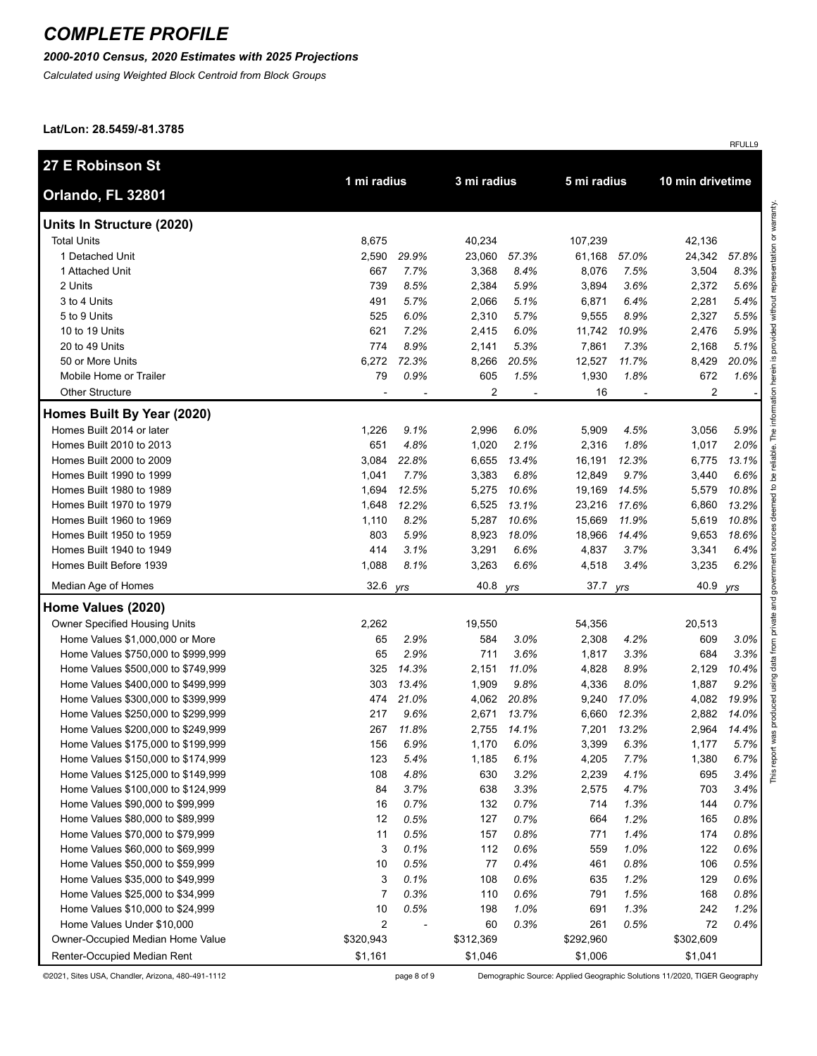## *2000-2010 Census, 2020 Estimates with 2025 Projections*

*Calculated using Weighted Block Centroid from Block Groups*

#### **Lat/Lon: 28.5459/-81.3785**

|                                                                |                             |       |                 |       |                  |             |                 | RFULL9           |
|----------------------------------------------------------------|-----------------------------|-------|-----------------|-------|------------------|-------------|-----------------|------------------|
| 27 E Robinson St                                               | 1 mi radius                 |       | 3 mi radius     |       |                  | 5 mi radius |                 | 10 min drivetime |
| Orlando, FL 32801                                              |                             |       |                 |       |                  |             |                 |                  |
| Units In Structure (2020)                                      |                             |       |                 |       |                  |             |                 |                  |
| <b>Total Units</b>                                             | 8,675                       |       | 40,234          |       | 107,239          |             | 42,136          |                  |
| 1 Detached Unit                                                | 2,590                       | 29.9% | 23,060          | 57.3% | 61,168           | 57.0%       | 24,342          | 57.8%            |
| 1 Attached Unit                                                | 667                         | 7.7%  | 3,368           | 8.4%  | 8,076            | 7.5%        | 3,504           | 8.3%             |
| 2 Units                                                        | 739                         | 8.5%  | 2,384           | 5.9%  | 3,894            | 3.6%        | 2,372           | 5.6%             |
| 3 to 4 Units                                                   | 491                         | 5.7%  | 2,066           | 5.1%  | 6,871            | 6.4%        | 2,281           | 5.4%             |
| 5 to 9 Units                                                   | 525                         | 6.0%  | 2,310           | 5.7%  | 9,555            | 8.9%        | 2,327           | 5.5%             |
| 10 to 19 Units                                                 | 621                         | 7.2%  | 2,415           | 6.0%  | 11,742           | 10.9%       | 2,476           | 5.9%             |
| 20 to 49 Units                                                 | 774                         | 8.9%  | 2,141           | 5.3%  | 7,861            | 7.3%        | 2,168           | 5.1%             |
| 50 or More Units                                               | 6,272                       | 72.3% | 8,266           | 20.5% | 12,527           | 11.7%       | 8,429           | 20.0%            |
| Mobile Home or Trailer                                         | 79                          | 0.9%  | 605             | 1.5%  | 1,930            | 1.8%        | 672             | 1.6%             |
| <b>Other Structure</b>                                         |                             |       | $\overline{c}$  |       | 16               |             | $\overline{2}$  |                  |
| Homes Built By Year (2020)                                     |                             |       |                 |       |                  |             |                 |                  |
| Homes Built 2014 or later                                      | 1,226                       | 9.1%  | 2,996           | 6.0%  | 5,909            | 4.5%        | 3,056           | 5.9%             |
| Homes Built 2010 to 2013                                       | 651                         | 4.8%  | 1,020           | 2.1%  | 2,316            | 1.8%        | 1,017           | 2.0%             |
| Homes Built 2000 to 2009                                       | 3,084                       | 22.8% | 6,655           | 13.4% | 16,191           | 12.3%       | 6,775           | 13.1%            |
| Homes Built 1990 to 1999                                       | 1,041                       | 7.7%  | 3,383           | 6.8%  | 12,849           | 9.7%        | 3,440           | 6.6%             |
| Homes Built 1980 to 1989                                       | 1,694                       | 12.5% | 5,275           | 10.6% | 19,169           | 14.5%       | 5,579           | 10.8%            |
| Homes Built 1970 to 1979                                       | 1,648                       | 12.2% | 6,525           | 13.1% | 23,216           | 17.6%       | 6,860           | 13.2%            |
| Homes Built 1960 to 1969                                       | 1,110                       | 8.2%  | 5,287           | 10.6% | 15,669           | 11.9%       | 5,619           | 10.8%            |
| Homes Built 1950 to 1959                                       | 803                         | 5.9%  | 8,923           | 18.0% | 18,966           | 14.4%       | 9,653           | 18.6%            |
| Homes Built 1940 to 1949                                       | 414                         | 3.1%  | 3,291           | 6.6%  | 4,837            | 3.7%        | 3,341           | 6.4%             |
| Homes Built Before 1939                                        | 1,088                       | 8.1%  | 3,263           | 6.6%  | 4,518            | 3.4%        | 3,235           | 6.2%             |
| Median Age of Homes                                            | 32.6                        | yrs   | 40.8            | yrs   | 37.7             | yrs         | 40.9            | yrs              |
| Home Values (2020)                                             |                             |       |                 |       |                  |             |                 |                  |
| Owner Specified Housing Units                                  | 2,262                       |       | 19,550          |       | 54,356           |             | 20,513          |                  |
| Home Values \$1,000,000 or More                                | 65                          | 2.9%  | 584             | 3.0%  | 2,308            | 4.2%        | 609             | 3.0%             |
| Home Values \$750,000 to \$999,999                             | 65                          | 2.9%  | 711             | 3.6%  | 1,817            | 3.3%        | 684             | 3.3%             |
| Home Values \$500,000 to \$749,999                             | 325                         | 14.3% | 2,151           | 11.0% | 4,828            | 8.9%        | 2,129           | 10.4%            |
| Home Values \$400,000 to \$499,999                             | 303                         | 13.4% | 1,909           | 9.8%  | 4,336            | 8.0%        | 1,887           | 9.2%             |
| Home Values \$300,000 to \$399,999                             | 474                         | 21.0% | 4,062           | 20.8% | 9,240            | 17.0%       | 4,082           | 19.9%            |
| Home Values \$250,000 to \$299,999                             | 217                         | 9.6%  | 2,671           | 13.7% | 6,660            | 12.3%       | 2,882           | 14.0%            |
| Home Values \$200,000 to \$249,999                             | 267                         | 11.8% | 2,755           | 14.1% | 7,201            | 13.2%       | 2,964           | 14.4%            |
| Home Values \$175,000 to \$199,999                             | 156                         | 6.9%  | 1,170           | 6.0%  | 3,399            | 6.3%        | 1,177           | 5.7%             |
| Home Values \$150,000 to \$174,999                             | 123                         | 5.4%  | 1,185           | 6.1%  | 4,205            | 7.7%        | 1,380           | 6.7%             |
| Home Values \$125,000 to \$149,999                             | 108                         | 4.8%  | 630             | 3.2%  | 2,239            | 4.1%        | 695             | 3.4%             |
| Home Values \$100,000 to \$124,999                             | 84                          | 3.7%  | 638             | 3.3%  | 2,575            | 4.7%        | 703             | 3.4%             |
| Home Values \$90,000 to \$99,999                               | 16                          | 0.7%  | 132             | 0.7%  | 714              | 1.3%        | 144             | 0.7%             |
| Home Values \$80,000 to \$89,999                               | 12                          | 0.5%  | 127             | 0.7%  | 664              | 1.2%        | 165             | 0.8%             |
| Home Values \$70,000 to \$79,999                               | 11                          | 0.5%  | 157             | 0.8%  | 771              | 1.4%        | 174             | 0.8%             |
| Home Values \$60,000 to \$69,999                               | 3                           | 0.1%  | 112             | 0.6%  | 559              | 1.0%        | 122             | 0.6%             |
| Home Values \$50,000 to \$59,999                               | 10                          | 0.5%  | 77              | 0.4%  | 461              | 0.8%        | 106             | 0.5%             |
| Home Values \$35,000 to \$49,999                               | 3                           | 0.1%  | 108             | 0.6%  | 635              | 1.2%        | 129             | 0.6%             |
| Home Values \$25,000 to \$34,999                               | $\overline{7}$              | 0.3%  | 110             | 0.6%  | 791              | 1.5%        | 168             | 0.8%             |
| Home Values \$10,000 to \$24,999                               | 10                          | 0.5%  | 198             | 1.0%  | 691              | 1.3%        | 242             | 1.2%             |
| Home Values Under \$10,000<br>Owner-Occupied Median Home Value | $\overline{2}$<br>\$320,943 |       | 60<br>\$312,369 | 0.3%  | 261<br>\$292,960 | 0.5%        | 72<br>\$302,609 | 0.4%             |
| Renter-Occupied Median Rent                                    |                             |       |                 |       |                  |             |                 |                  |
|                                                                | \$1,161                     |       | \$1,046         |       | \$1,006          |             | \$1,041         |                  |

©2021, Sites USA, Chandler, Arizona, 480-491-1112 page 8 of 9 Demographic Source: Applied Geographic Solutions 11/2020, TIGER Geography